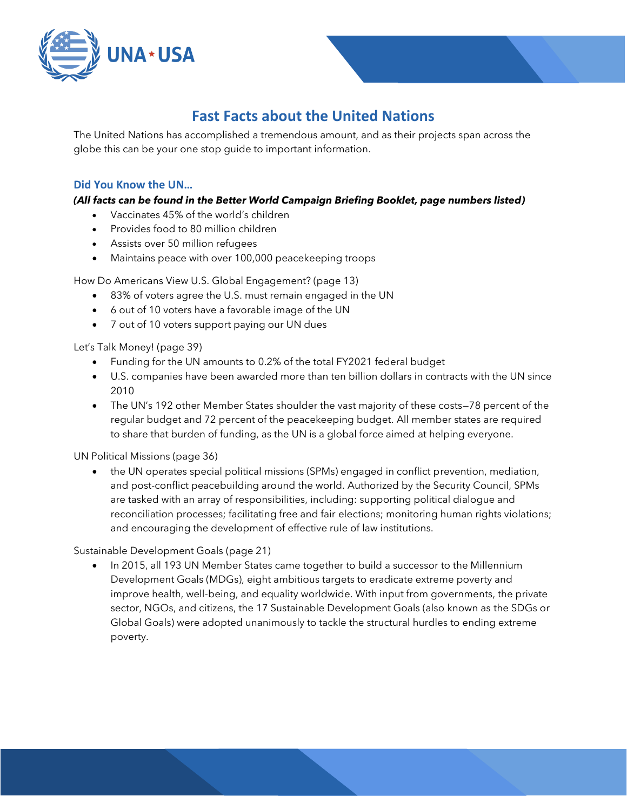

# **Fast Facts about the United Nations**

The United Nations has accomplished a tremendous amount, and as their projects span across the globe this can be your one stop guide to important information.

# **Did You Know the UN…**

# *(All facts can be found in the Better World Campaign Briefing Booklet, page numbers listed)*

- Vaccinates 45% of the world's children
- Provides food to 80 million children
- Assists over 50 million refugees
- Maintains peace with over 100,000 peacekeeping troops

How Do Americans View U.S. Global Engagement? (page 13)

- 83% of voters agree the U.S. must remain engaged in the UN
- 6 out of 10 voters have a favorable image of the UN
- 7 out of 10 voters support paying our UN dues

Let's Talk Money! (page 39)

- Funding for the UN amounts to 0.2% of the total FY2021 federal budget
- U.S. companies have been awarded more than ten billion dollars in contracts with the UN since 2010
- The UN's 192 other Member States shoulder the vast majority of these costs—78 percent of the regular budget and 72 percent of the peacekeeping budget. All member states are required to share that burden of funding, as the UN is a global force aimed at helping everyone.

UN Political Missions (page 36)

• the UN operates special political missions (SPMs) engaged in conflict prevention, mediation, and post-conflict peacebuilding around the world. Authorized by the Security Council, SPMs are tasked with an array of responsibilities, including: supporting political dialogue and reconciliation processes; facilitating free and fair elections; monitoring human rights violations; and encouraging the development of effective rule of law institutions.

Sustainable Development Goals (page 21)

• In 2015, all 193 UN Member States came together to build a successor to the Millennium Development Goals (MDGs), eight ambitious targets to eradicate extreme poverty and improve health, well-being, and equality worldwide. With input from governments, the private sector, NGOs, and citizens, the 17 Sustainable Development Goals (also known as the SDGs or Global Goals) were adopted unanimously to tackle the structural hurdles to ending extreme poverty.